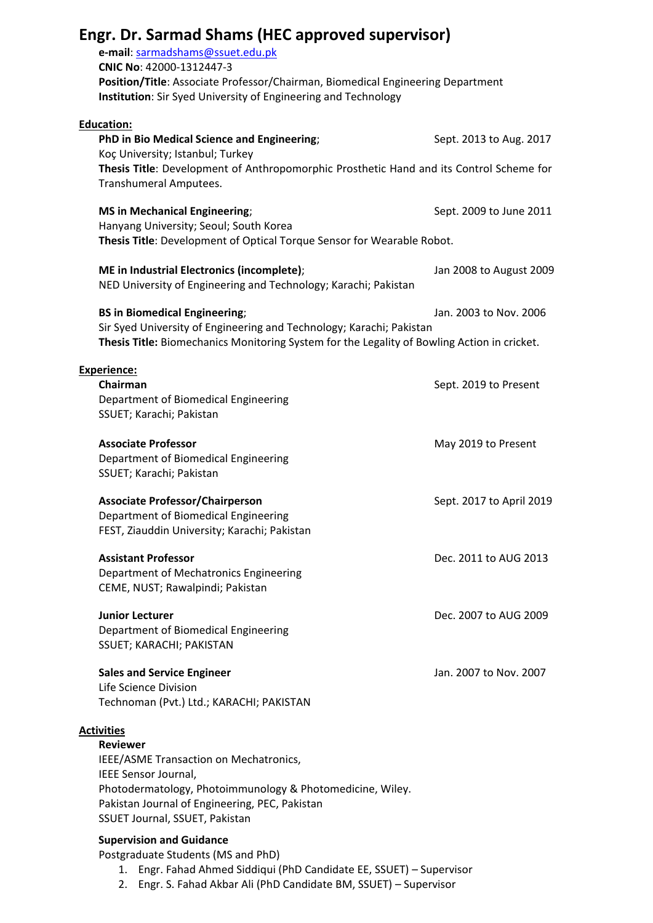| Engr. Dr. Sarmad Shams (HEC approved supervisor)                                                                                              |                          |
|-----------------------------------------------------------------------------------------------------------------------------------------------|--------------------------|
| e-mail: sarmadshams@ssuet.edu.pk                                                                                                              |                          |
| CNIC No: 42000-1312447-3<br>Position/Title: Associate Professor/Chairman, Biomedical Engineering Department                                   |                          |
| Institution: Sir Syed University of Engineering and Technology                                                                                |                          |
| <b>Education:</b>                                                                                                                             |                          |
| PhD in Bio Medical Science and Engineering;<br>Koç University; Istanbul; Turkey                                                               | Sept. 2013 to Aug. 2017  |
| Thesis Title: Development of Anthropomorphic Prosthetic Hand and its Control Scheme for<br>Transhumeral Amputees.                             |                          |
| <b>MS in Mechanical Engineering;</b>                                                                                                          | Sept. 2009 to June 2011  |
| Hanyang University; Seoul; South Korea                                                                                                        |                          |
| Thesis Title: Development of Optical Torque Sensor for Wearable Robot.                                                                        |                          |
| ME in Industrial Electronics (incomplete);<br>NED University of Engineering and Technology; Karachi; Pakistan                                 | Jan 2008 to August 2009  |
| <b>BS in Biomedical Engineering;</b>                                                                                                          | Jan. 2003 to Nov. 2006   |
| Sir Syed University of Engineering and Technology; Karachi; Pakistan                                                                          |                          |
| Thesis Title: Biomechanics Monitoring System for the Legality of Bowling Action in cricket.                                                   |                          |
| <b>Experience:</b>                                                                                                                            |                          |
| Chairman<br>Department of Biomedical Engineering                                                                                              | Sept. 2019 to Present    |
| SSUET; Karachi; Pakistan                                                                                                                      |                          |
| <b>Associate Professor</b>                                                                                                                    | May 2019 to Present      |
| Department of Biomedical Engineering                                                                                                          |                          |
| SSUET; Karachi; Pakistan                                                                                                                      |                          |
| <b>Associate Professor/Chairperson</b>                                                                                                        | Sept. 2017 to April 2019 |
| Department of Biomedical Engineering                                                                                                          |                          |
| FEST, Ziauddin University; Karachi; Pakistan                                                                                                  |                          |
| <b>Assistant Professor</b>                                                                                                                    | Dec. 2011 to AUG 2013    |
| Department of Mechatronics Engineering                                                                                                        |                          |
| CEME, NUST; Rawalpindi; Pakistan                                                                                                              |                          |
| <b>Junior Lecturer</b>                                                                                                                        | Dec. 2007 to AUG 2009    |
| Department of Biomedical Engineering                                                                                                          |                          |
| SSUET; KARACHI; PAKISTAN                                                                                                                      |                          |
| <b>Sales and Service Engineer</b>                                                                                                             | Jan. 2007 to Nov. 2007   |
| Life Science Division<br>Technoman (Pvt.) Ltd.; KARACHI; PAKISTAN                                                                             |                          |
|                                                                                                                                               |                          |
| <b>Activities</b><br><b>Reviewer</b>                                                                                                          |                          |
| IEEE/ASME Transaction on Mechatronics,                                                                                                        |                          |
| IEEE Sensor Journal,<br>Photodermatology, Photoimmunology & Photomedicine, Wiley.                                                             |                          |
| Pakistan Journal of Engineering, PEC, Pakistan                                                                                                |                          |
| SSUET Journal, SSUET, Pakistan                                                                                                                |                          |
| <b>Supervision and Guidance</b>                                                                                                               |                          |
| Postgraduate Students (MS and PhD)                                                                                                            |                          |
| Engr. Fahad Ahmed Siddiqui (PhD Candidate EE, SSUET) - Supervisor<br>1.<br>2. Engr. S. Fahad Akbar Ali (PhD Candidate BM, SSUET) - Supervisor |                          |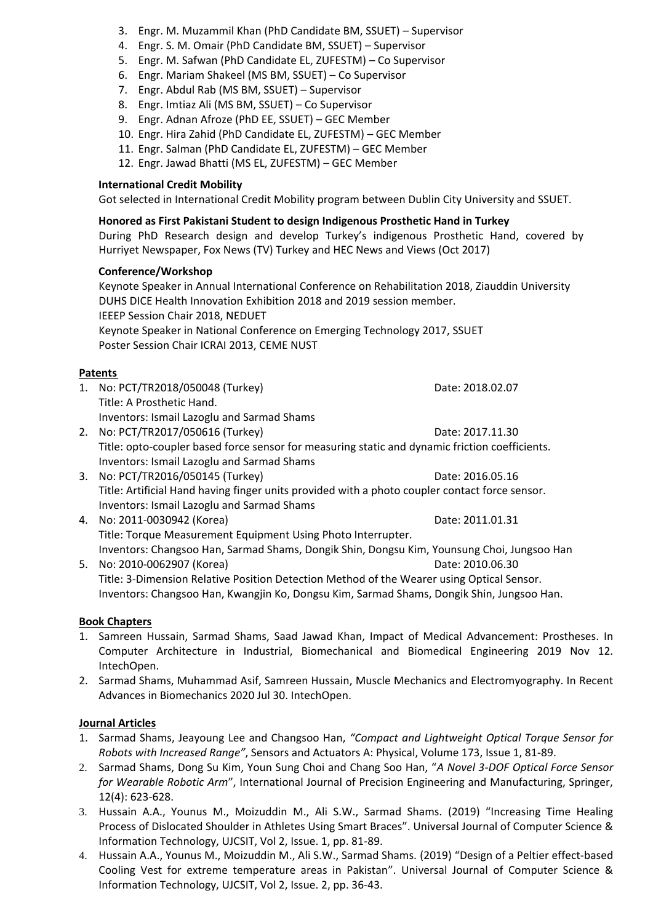- 3. Engr. M. Muzammil Khan (PhD Candidate BM, SSUET) Supervisor
- 4. Engr. S. M. Omair (PhD Candidate BM, SSUET) Supervisor
- 5. Engr. M. Safwan (PhD Candidate EL, ZUFESTM) Co Supervisor
- 6. Engr. Mariam Shakeel (MS BM, SSUET) Co Supervisor
- 7. Engr. Abdul Rab (MS BM, SSUET) Supervisor
- 8. Engr. Imtiaz Ali (MS BM, SSUET) Co Supervisor
- 9. Engr. Adnan Afroze (PhD EE, SSUET) GEC Member
- 10. Engr. Hira Zahid (PhD Candidate EL, ZUFESTM) GEC Member
- 11. Engr. Salman (PhD Candidate EL, ZUFESTM) GEC Member
- 12. Engr. Jawad Bhatti (MS EL, ZUFESTM) GEC Member

# **International Credit Mobility**

Got selected in International Credit Mobility program between Dublin City University and SSUET.

# **Honored as First Pakistani Student to design Indigenous Prosthetic Hand in Turkey**

During PhD Research design and develop Turkey's indigenous Prosthetic Hand, covered by Hurriyet Newspaper, Fox News (TV) Turkey and HEC News and Views (Oct 2017)

#### **Conference/Workshop**

Keynote Speaker in Annual International Conference on Rehabilitation 2018, Ziauddin University DUHS DICE Health Innovation Exhibition 2018 and 2019 session member. IEEEP Session Chair 2018, NEDUET Keynote Speaker in National Conference on Emerging Technology 2017, SSUET Poster Session Chair ICRAI 2013, CEME NUST

# **Patents**

1. No: PCT/TR2018/050048 (Turkey) Date: 2018.02.07 Title: A Prosthetic Hand. Inventors: Ismail Lazoglu and Sarmad Shams

2. No: PCT/TR2017/050616 (Turkey) Date: 2017.11.30 Title: opto-coupler based force sensor for measuring static and dynamic friction coefficients. Inventors: Ismail Lazoglu and Sarmad Shams

- 3. No: PCT/TR2016/050145 (Turkey) Date: 2016.05.16 Title: Artificial Hand having finger units provided with a photo coupler contact force sensor. Inventors: Ismail Lazoglu and Sarmad Shams
- 4. No: 2011-0030942 (Korea) Date: 2011.01.31 Title: Torque Measurement Equipment Using Photo Interrupter. Inventors: Changsoo Han, Sarmad Shams, Dongik Shin, Dongsu Kim, Younsung Choi, Jungsoo Han
- 5. No: 2010-0062907 (Korea) Date: 2010.06.30 Title: 3-Dimension Relative Position Detection Method of the Wearer using Optical Sensor. Inventors: Changsoo Han, Kwangjin Ko, Dongsu Kim, Sarmad Shams, Dongik Shin, Jungsoo Han.

# **Book Chapters**

- 1. Samreen Hussain, Sarmad Shams, Saad Jawad Khan, Impact of Medical Advancement: Prostheses. In Computer Architecture in Industrial, Biomechanical and Biomedical Engineering 2019 Nov 12. IntechOpen.
- 2. Sarmad Shams, Muhammad Asif, Samreen Hussain, Muscle Mechanics and Electromyography. In Recent Advances in Biomechanics 2020 Jul 30. IntechOpen.

# **Journal Articles**

- 1. Sarmad Shams, Jeayoung Lee and Changsoo Han, *"Compact and Lightweight Optical Torque Sensor for Robots with Increased Range"*, Sensors and Actuators A: Physical, Volume 173, Issue 1, 81-89.
- 2. Sarmad Shams, Dong Su Kim, Youn Sung Choi and Chang Soo Han, "*A Novel 3-DOF Optical Force Sensor for Wearable Robotic Arm*", International Journal of Precision Engineering and Manufacturing, Springer, 12(4): 623-628.
- 3. Hussain A.A., Younus M., Moizuddin M., Ali S.W., Sarmad Shams. (2019) "Increasing Time Healing Process of Dislocated Shoulder in Athletes Using Smart Braces". Universal Journal of Computer Science & Information Technology, UJCSIT, Vol 2, Issue. 1, pp. 81-89.
- 4. Hussain A.A., Younus M., Moizuddin M., Ali S.W., Sarmad Shams. (2019) "Design of a Peltier effect-based Cooling Vest for extreme temperature areas in Pakistan". Universal Journal of Computer Science & Information Technology, UJCSIT, Vol 2, Issue. 2, pp. 36-43.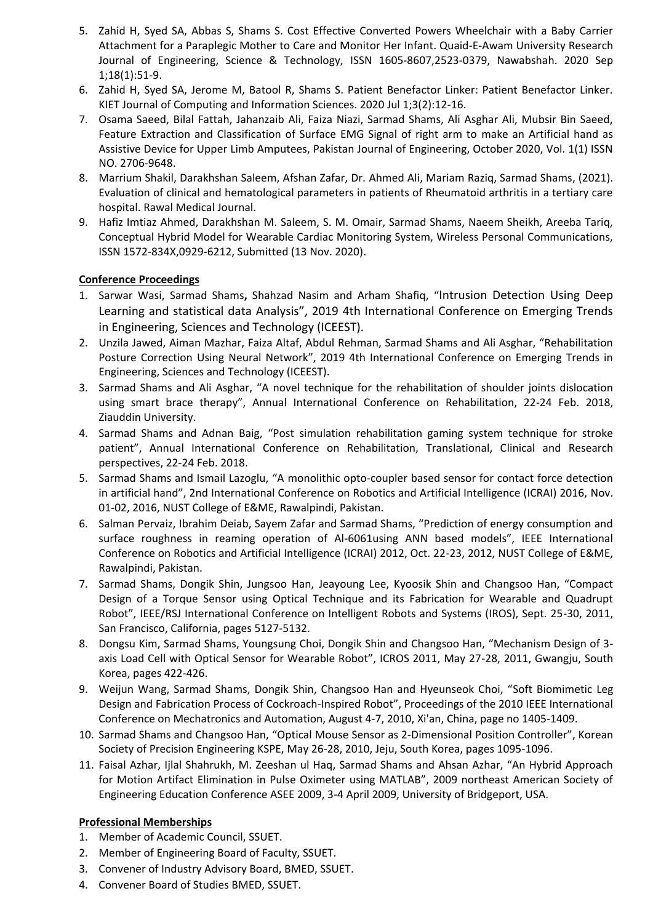- 5. Zahid H, Syed SA, Abbas S, Shams S. Cost Effective Converted Powers Wheelchair with a Baby Carrier Attachment for a Paraplegic Mother to Care and Monitor Her Infant. Quaid-E-Awam University Research Journal of Engineering, Science & Technology, ISSN 1605-8607,2523-0379, Nawabshah. 2020 Sep 1;18(1):51-9.
- 6. Zahid H, Syed SA, Jerome M, Batool R, Shams S. Patient Benefactor Linker: Patient Benefactor Linker. KIET Journal of Computing and Information Sciences. 2020 Jul 1;3(2):12-16.
- 7. Osama Saeed, Bilal Fattah, Jahanzaib Ali, Faiza Niazi, Sarmad Shams, Ali Asghar Ali, Mubsir Bin Saeed, Feature Extraction and Classification of Surface EMG Signal of right arm to make an Artificial hand as Assistive Device for Upper Limb Amputees, Pakistan Journal of Engineering, October 2020, Vol. 1(1) ISSN NO. 2706-9648.
- 8. Marrium Shakil, Darakhshan Saleem, Afshan Zafar, Dr. Ahmed Ali, Mariam Raziq, Sarmad Shams, (2021). Evaluation of clinical and hematological parameters in patients of Rheumatoid arthritis in a tertiary care hospital. Rawal Medical Journal.
- 9. Hafiz Imtiaz Ahmed, Darakhshan M. Saleem, S. M. Omair, Sarmad Shams, Naeem Sheikh, Areeba Tariq, Conceptual Hybrid Model for Wearable Cardiac Monitoring System, Wireless Personal Communications, ISSN 1572-834X,0929-6212, Submitted (13 Nov. 2020).

# **Conference Proceedings**

- 1. Sarwar Wasi, Sarmad Shams**,** Shahzad Nasim and Arham Shafiq, "Intrusion Detection Using Deep Learning and statistical data Analysis", 2019 4th International Conference on Emerging Trends in Engineering, Sciences and Technology (ICEEST).
- 2. Unzila Jawed, Aiman Mazhar, Faiza Altaf, Abdul Rehman, Sarmad Shams and Ali Asghar, "Rehabilitation Posture Correction Using Neural Network", 2019 4th International Conference on Emerging Trends in Engineering, Sciences and Technology (ICEEST).
- 3. Sarmad Shams and Ali Asghar, "A novel technique for the rehabilitation of shoulder joints dislocation using smart brace therapy", Annual International Conference on Rehabilitation, 22-24 Feb. 2018, Ziauddin University.
- 4. Sarmad Shams and Adnan Baig, "Post simulation rehabilitation gaming system technique for stroke patient", Annual International Conference on Rehabilitation, Translational, Clinical and Research perspectives, 22-24 Feb. 2018.
- 5. Sarmad Shams and Ismail Lazoglu, "A monolithic opto-coupler based sensor for contact force detection in artificial hand", 2nd International Conference on Robotics and Artificial Intelligence (ICRAI) 2016, Nov. 01-02, 2016, NUST College of E&ME, Rawalpindi, Pakistan.
- 6. Salman Pervaiz, Ibrahim Deiab, Sayem Zafar and Sarmad Shams, "Prediction of energy consumption and surface roughness in reaming operation of Al-6061using ANN based models", IEEE International Conference on Robotics and Artificial Intelligence (ICRAI) 2012, Oct. 22-23, 2012, NUST College of E&ME, Rawalpindi, Pakistan.
- 7. Sarmad Shams, Dongik Shin, Jungsoo Han, Jeayoung Lee, Kyoosik Shin and Changsoo Han, "Compact Design of a Torque Sensor using Optical Technique and its Fabrication for Wearable and Quadrupt Robot", IEEE/RSJ International Conference on Intelligent Robots and Systems (IROS), Sept. 25-30, 2011, San Francisco, California, pages 5127-5132.
- 8. Dongsu Kim, Sarmad Shams, Youngsung Choi, Dongik Shin and Changsoo Han, "Mechanism Design of 3 axis Load Cell with Optical Sensor for Wearable Robot", ICROS 2011, May 27-28, 2011, Gwangju, South Korea, pages 422-426.
- 9. Weijun Wang, Sarmad Shams, Dongik Shin, Changsoo Han and Hyeunseok Choi, "Soft Biomimetic Leg Design and Fabrication Process of Cockroach-Inspired Robot", Proceedings of the 2010 IEEE International Conference on Mechatronics and Automation, August 4-7, 2010, Xi'an, China, page no 1405-1409.
- 10. Sarmad Shams and Changsoo Han, "Optical Mouse Sensor as 2-Dimensional Position Controller", Korean Society of Precision Engineering KSPE, May 26-28, 2010, Jeju, South Korea, pages 1095-1096.
- 11. Faisal Azhar, Ijlal Shahrukh, M. Zeeshan ul Haq, Sarmad Shams and Ahsan Azhar, "An Hybrid Approach for Motion Artifact Elimination in Pulse Oximeter using MATLAB", 2009 northeast American Society of Engineering Education Conference ASEE 2009, 3-4 April 2009, University of Bridgeport, USA.

# **Professional Memberships**

- 1. Member of Academic Council, SSUET.
- 2. Member of Engineering Board of Faculty, SSUET.
- 3. Convener of Industry Advisory Board, BMED, SSUET.
- 4. Convener Board of Studies BMED, SSUET.